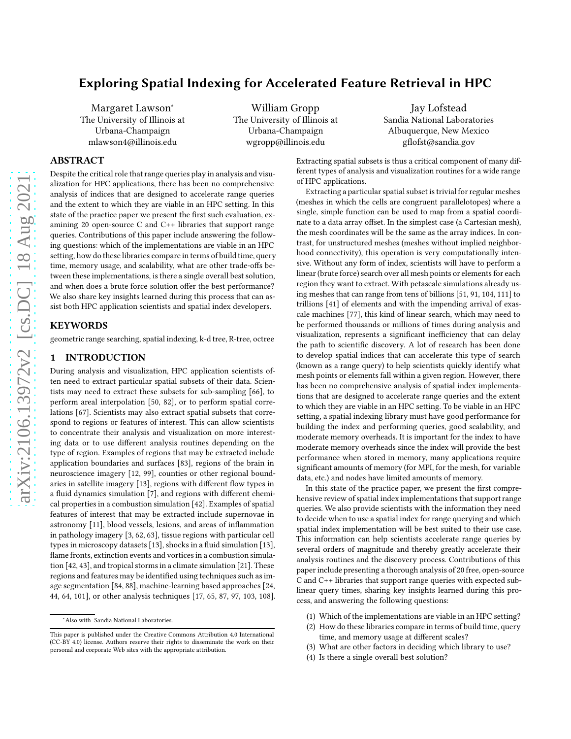# Exploring Spatial Indexing for Accelerated Feature Retrieval in HPC

Margaret Lawson<sup>∗</sup> The University of Illinois at Urbana-Champaign mlawson4@illinois.edu

William Gropp The University of Illinois at Urbana-Champaign wgropp@illinois.edu

Jay Lofstead Sandia National Laboratories Albuquerque, New Mexico gflofst@sandia.gov

## ABSTRACT

Despite the critical role that range queries play in analysis and visualization for HPC applications, there has been no comprehensive analysis of indices that are designed to accelerate range queries and the extent to which they are viable in an HPC setting. In this state of the practice paper we present the first such evaluation, examining 20 open-source C and C++ libraries that support range queries. Contributions of this paper include answering the following questions: which of the implementations are viable in an HPC setting, how do these libraries compare in terms of build time, query time, memory usage, and scalability, what are other trade-offs between these implementations, is there a single overall best solution, and when does a brute force solution offer the best performance? We also share key insights learned during this process that can assist both HPC application scientists and spatial index developers.

#### **KEYWORDS**

geometric range searching, spatial indexing, k-d tree, R-tree, octree

#### 1 INTRODUCTION

During analysis and visualization, HPC application scientists often need to extract particular spatial subsets of their data. Scientists may need to extract these subsets for sub-sampling [\[66\]](#page-11-0), to perform areal interpolation [\[50](#page-11-1), [82\]](#page-12-0), or to perform spatial correlations [\[67\]](#page-11-2). Scientists may also extract spatial subsets that correspond to regions or features of interest. This can allow scientists to concentrate their analysis and visualization on more interesting data or to use different analysis routines depending on the type of region. Examples of regions that may be extracted include application boundaries and surfaces [\[83\]](#page-12-1), regions of the brain in neuroscience imagery [\[12](#page-10-0), [99](#page-12-2)], counties or other regional boundaries in satellite imagery [\[13\]](#page-10-1), regions with different flow types in a fluid dynamics simulation [\[7](#page-10-2)], and regions with different chemical properties in a combustion simulation [\[42\]](#page-11-3). Examples of spatial features of interest that may be extracted include supernovae in astronomy [\[11](#page-10-3)], blood vessels, lesions, and areas of inflammation in pathology imagery [\[3](#page-10-4), [62,](#page-11-4) [63\]](#page-11-5), tissue regions with particular cell types in microscopy datasets [\[13\]](#page-10-1), shocks in a fluid simulation [\[13\]](#page-10-1), flame fronts, extinction events and vortices in a combustion simulation [\[42,](#page-11-3) [43](#page-11-6)], and tropical storms in a climate simulation [\[21\]](#page-10-5). These regions and features may be identified using techniques such as image segmentation [\[84,](#page-12-3) [88\]](#page-12-4), machine-learning based approaches [\[24](#page-10-6), [44,](#page-11-7) [64,](#page-11-8) [101\]](#page-12-5), or other analysis techniques [\[17,](#page-10-7) [65,](#page-11-9) [87](#page-12-6), [97](#page-12-7), [103](#page-12-8), [108](#page-12-9)].

Extracting spatial subsets is thus a critical component of many different types of analysis and visualization routines for a wide range of HPC applications.

Extracting a particular spatial subset is trivial for regular meshes (meshes in which the cells are congruent parallelotopes) where a single, simple function can be used to map from a spatial coordinate to a data array offset. In the simplest case (a Cartesian mesh), the mesh coordinates will be the same as the array indices. In contrast, for unstructured meshes (meshes without implied neighborhood connectivity), this operation is very computationally intensive. Without any form of index, scientists will have to perform a linear (brute force) search over all mesh points or elements for each region they want to extract. With petascale simulations already using meshes that can range from tens of billions [\[51,](#page-11-10) [91,](#page-12-10) [104](#page-12-11), [111\]](#page-12-12) to trillions [\[41\]](#page-11-11) of elements and with the impending arrival of exascale machines [\[77\]](#page-12-13), this kind of linear search, which may need to be performed thousands or millions of times during analysis and visualization, represents a significant inefficiency that can delay the path to scientific discovery. A lot of research has been done to develop spatial indices that can accelerate this type of search (known as a range query) to help scientists quickly identify what mesh points or elements fall within a given region. However, there has been no comprehensive analysis of spatial index implementations that are designed to accelerate range queries and the extent to which they are viable in an HPC setting. To be viable in an HPC setting, a spatial indexing library must have good performance for building the index and performing queries, good scalability, and moderate memory overheads. It is important for the index to have moderate memory overheads since the index will provide the best performance when stored in memory, many applications require significant amounts of memory (for MPI, for the mesh, for variable data, etc.) and nodes have limited amounts of memory.

In this state of the practice paper, we present the first comprehensive review of spatial index implementations that support range queries. We also provide scientists with the information they need to decide when to use a spatial index for range querying and which spatial index implementation will be best suited to their use case. This information can help scientists accelerate range queries by several orders of magnitude and thereby greatly accelerate their analysis routines and the discovery process. Contributions of this paper include presenting a thorough analysis of 20 free, open-source C and C++ libraries that support range queries with expected sublinear query times, sharing key insights learned during this process, and answering the following questions:

- (1) Which of the implementations are viable in an HPC setting?
- (2) How do these libraries compare in terms of build time, query time, and memory usage at different scales?
- (3) What are other factors in deciding which library to use?
- (4) Is there a single overall best solution?

<sup>∗</sup>Also with Sandia National Laboratories.

This paper is published under the Creative Commons Attribution 4.0 International (CC-BY 4.0) license. Authors reserve their rights to disseminate the work on their personal and corporate Web sites with the appropriate attribution.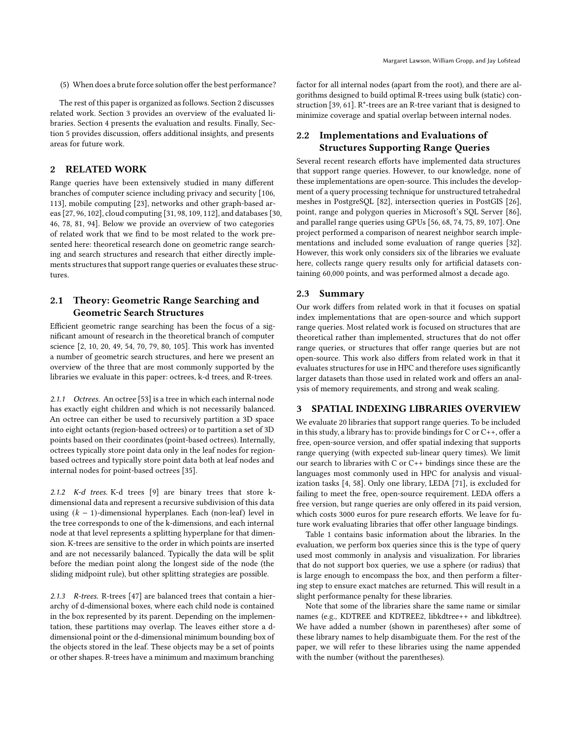(5) When does a brute force solution offer the best performance?

The rest of this paper is organized as follows. Section [2](#page-1-0) discusses related work. Section [3](#page-1-1) provides an overview of the evaluated libraries. Section [4](#page-2-0) presents the evaluation and results. Finally, Section [5](#page-8-0) provides discussion, offers additional insights, and presents areas for future work.

## <span id="page-1-0"></span>2 RELATED WORK

Range queries have been extensively studied in many different branches of computer science including privacy and security [\[106](#page-12-14), [113](#page-12-15)], mobile computing [\[23\]](#page-10-8), networks and other graph-based areas [\[27](#page-11-12), [96](#page-12-16), [102](#page-12-17)], cloud computing [\[31,](#page-11-13) [98,](#page-12-18) [109,](#page-12-19) [112\]](#page-12-20), and databases [\[30](#page-11-14), [46,](#page-11-15) [78](#page-12-21), [81,](#page-12-22) [94\]](#page-12-23). Below we provide an overview of two categories of related work that we find to be most related to the work presented here: theoretical research done on geometric range searching and search structures and research that either directly implements structures that support range queries or evaluates these structures.

## 2.1 Theory: Geometric Range Searching and Geometric Search Structures

Efficient geometric range searching has been the focus of a significant amount of research in the theoretical branch of computer science [\[2](#page-10-9), [10](#page-10-10), [20](#page-10-11), [49](#page-11-16), [54](#page-11-17), [70](#page-11-18), [79](#page-12-24), [80](#page-12-25), [105\]](#page-12-26). This work has invented a number of geometric search structures, and here we present an overview of the three that are most commonly supported by the libraries we evaluate in this paper: octrees, k-d trees, and R-trees.

2.1.1 Octrees. An octree [\[53](#page-11-19)] is a tree in which each internal node has exactly eight children and which is not necessarily balanced. An octree can either be used to recursively partition a 3D space into eight octants (region-based octrees) or to partition a set of 3D points based on their coordinates (point-based octrees). Internally, octrees typically store point data only in the leaf nodes for regionbased octrees and typically store point data both at leaf nodes and internal nodes for point-based octrees [\[35\]](#page-11-20).

2.1.2 K-d trees. K-d trees [\[9\]](#page-10-12) are binary trees that store kdimensional data and represent a recursive subdivision of this data using  $(k - 1)$ -dimensional hyperplanes. Each (non-leaf) level in the tree corresponds to one of the k-dimensions, and each internal node at that level represents a splitting hyperplane for that dimension. K-trees are sensitive to the order in which points are inserted and are not necessarily balanced. Typically the data will be split before the median point along the longest side of the node (the sliding midpoint rule), but other splitting strategies are possible.

2.1.3 R-trees. R-trees [\[47](#page-11-21)] are balanced trees that contain a hierarchy of d-dimensional boxes, where each child node is contained in the box represented by its parent. Depending on the implementation, these partitions may overlap. The leaves either store a ddimensional point or the d-dimensional minimum bounding box of the objects stored in the leaf. These objects may be a set of points or other shapes. R-trees have a minimum and maximum branching

factor for all internal nodes (apart from the root), and there are algorithms designed to build optimal R-trees using bulk (static) construction [\[39](#page-11-22), [61\]](#page-11-23). R\*-trees are an R-tree variant that is designed to minimize coverage and spatial overlap between internal nodes.

## 2.2 Implementations and Evaluations of Structures Supporting Range Queries

Several recent research efforts have implemented data structures that support range queries. However, to our knowledge, none of these implementations are open-source. This includes the development of a query processing technique for unstructured tetrahedral meshes in PostgreSQL [\[82\]](#page-12-0), intersection queries in PostGIS [\[26](#page-10-13)], point, range and polygon queries in Microsoft's SQL Server [\[86](#page-12-27)], and parallel range queries using GPUs [\[56](#page-11-24), [68,](#page-11-25) [74,](#page-11-26) [75](#page-11-27), [89](#page-12-28), [107\]](#page-12-29). One project performed a comparison of nearest neighbor search implementations and included some evaluation of range queries [\[32\]](#page-11-28). However, this work only considers six of the libraries we evaluate here, collects range query results only for artificial datasets containing 60,000 points, and was performed almost a decade ago.

#### 2.3 Summary

Our work differs from related work in that it focuses on spatial index implementations that are open-source and which support range queries. Most related work is focused on structures that are theoretical rather than implemented, structures that do not offer range queries, or structures that offer range queries but are not open-source. This work also differs from related work in that it evaluates structures for use in HPC and therefore uses significantly larger datasets than those used in related work and offers an analysis of memory requirements, and strong and weak scaling.

#### <span id="page-1-1"></span>3 SPATIAL INDEXING LIBRARIES OVERVIEW

We evaluate 20 libraries that support range queries. To be included in this study, a library has to: provide bindings for C or C++, offer a free, open-source version, and offer spatial indexing that supports range querying (with expected sub-linear query times). We limit our search to libraries with C or C++ bindings since these are the languages most commonly used in HPC for analysis and visualization tasks [\[4](#page-10-14), [58\]](#page-11-29). Only one library, LEDA [\[71](#page-11-30)], is excluded for failing to meet the free, open-source requirement. LEDA offers a free version, but range queries are only offered in its paid version, which costs 3000 euros for pure research efforts. We leave for future work evaluating libraries that offer other language bindings.

Table [1](#page-2-1) contains basic information about the libraries. In the evaluation, we perform box queries since this is the type of query used most commonly in analysis and visualization. For libraries that do not support box queries, we use a sphere (or radius) that is large enough to encompass the box, and then perform a filtering step to ensure exact matches are returned. This will result in a slight performance penalty for these libraries.

Note that some of the libraries share the same name or similar names (e.g., KDTREE and KDTREE2, libkdtree++ and libkdtree). We have added a number (shown in parentheses) after some of these library names to help disambiguate them. For the rest of the paper, we will refer to these libraries using the name appended with the number (without the parentheses).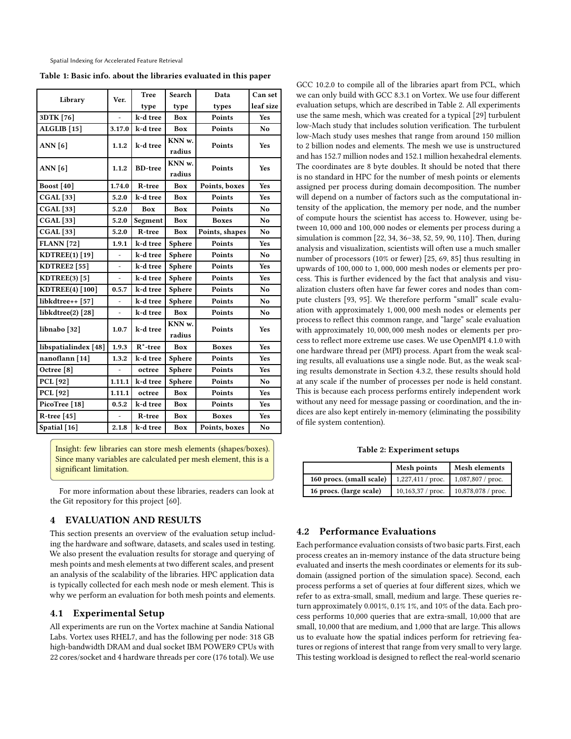<span id="page-2-1"></span>Spatial Indexing for Accelerated Feature Retrieval

Table 1: Basic info. about the libraries evaluated in this paper

| Library                | Ver.   | <b>Tree</b>    | Search           | Data           | Can set        |
|------------------------|--------|----------------|------------------|----------------|----------------|
|                        |        | type           | type             | types          | leaf size      |
| 3DTK [76]              |        | k-d tree       | Box              | Points         | Yes            |
| ALGLIB <sup>[15]</sup> | 3.17.0 | k-d tree       | Box              | Points         | N <sub>o</sub> |
| <b>ANN</b> [6]         | 1.1.2  | k-d tree       | KNN w.           | Points         | <b>Yes</b>     |
|                        |        |                | radius           |                |                |
| <b>ANN</b> [6]         | 1.1.2  | <b>BD-tree</b> | KNN w.<br>radius | Points         | Yes            |
| <b>Boost</b> [40]      | 1.74.0 | R-tree         | Box              | Points, boxes  | Yes            |
| <b>CGAL</b> [33]       | 5.2.0  | k-d tree       | Box              | Points         | <b>Yes</b>     |
| <b>CGAL</b> [33]       | 5.2.0  | Box            | Box              | Points         | No             |
| <b>CGAL</b> [33]       | 5.2.0  | Segment        | Box              | <b>Boxes</b>   | N <sub>o</sub> |
| <b>CGAL</b> [33]       | 5.2.0  | R-tree         | Box              | Points, shapes | No             |
| <b>FLANN</b> [72]      | 1.9.1  | k-d tree       | Sphere           | Points         | Yes            |
| KDTREE(1) [19]         |        | k-d tree       | Sphere           | Points         | No             |
| <b>KDTREE2</b> [55]    | ä,     | k-d tree       | Sphere           | Points         | <b>Yes</b>     |
| KDTREE(3) [5]          |        | k-d tree       | <b>Sphere</b>    | Points         | Yes            |
| KDTREE(4) [100]        | 0.5.7  | k-d tree       | Sphere           | Points         | N <sub>o</sub> |
| libkdtree++ [57]       |        | k-d tree       | Sphere           | Points         | No             |
| libkdtree $(2)$ [28]   | ÷,     | k-d tree       | Box              | Points         | No             |
| libnabo [32]           | 1.0.7  | k-d tree       | KNN w.           | Points         | <b>Yes</b>     |
|                        |        |                | radius           |                |                |
| libspatialindex [48]   | 1.9.3  | $R^*$ -tree    | <b>Box</b>       | <b>Boxes</b>   | Yes            |
| nanoflann [14]         | 1.3.2  | k-d tree       | Sphere           | Points         | <b>Yes</b>     |
| Octree <sup>[8]</sup>  |        | octree         | Sphere           | Points         | Yes            |
| <b>PCL</b> [92]        | 1.11.1 | k-d tree       | Sphere           | Points         | No             |
| PCL [92]               | 1.11.1 | octree         | Box              | Points         | Yes            |
| PicoTree [18]          | 0.5.2  | k-d tree       | Box              | Points         | Yes            |
| R-tree $[45]$          |        | R-tree         | Box              | <b>Boxes</b>   | <b>Yes</b>     |
| Spatial [16]           | 2.1.8  | k-d tree       | Box              | Points, boxes  | No             |
|                        |        |                |                  |                |                |

Insight: few libraries can store mesh elements (shapes/boxes). Since many variables are calculated per mesh element, this is a significant limitation.

For more information about these libraries, readers can look at the Git repository for this project [\[60\]](#page-11-40).

#### <span id="page-2-0"></span>4 EVALUATION AND RESULTS

This section presents an overview of the evaluation setup including the hardware and software, datasets, and scales used in testing. We also present the evaluation results for storage and querying of mesh points and mesh elements at two different scales, and present an analysis of the scalability of the libraries. HPC application data is typically collected for each mesh node or mesh element. This is why we perform an evaluation for both mesh points and elements.

### 4.1 Experimental Setup

All experiments are run on the Vortex machine at Sandia National Labs. Vortex uses RHEL7, and has the following per node: 318 GB high-bandwidth DRAM and dual socket IBM POWER9 CPUs with 22 cores/socket and 4 hardware threads per core (176 total). We use

GCC 10.2.0 to compile all of the libraries apart from PCL, which we can only build with GCC 8.3.1 on Vortex. We use four different evaluation setups, which are described in Table [2.](#page-2-2) All experiments use the same mesh, which was created for a typical [\[29\]](#page-11-41) turbulent low-Mach study that includes solution verification. The turbulent low-Mach study uses meshes that range from around 150 million to 2 billion nodes and elements. The mesh we use is unstructured and has 152.7 million nodes and 152.1 million hexahedral elements. The coordinates are 8 byte doubles. It should be noted that there is no standard in HPC for the number of mesh points or elements assigned per process during domain decomposition. The number will depend on a number of factors such as the computational intensity of the application, the memory per node, and the number of compute hours the scientist has access to. However, using between 10, 000 and 100, 000 nodes or elements per process during a simulation is common [\[22](#page-10-23), [34,](#page-11-42) [36](#page-11-43)[–38](#page-11-44), [52](#page-11-45), [59,](#page-11-46) [90](#page-12-32), [110\]](#page-12-33). Then, during analysis and visualization, scientists will often use a much smaller number of processors (10% or fewer) [\[25,](#page-10-24) [69](#page-11-47), [85\]](#page-12-34) thus resulting in upwards of 100, 000 to 1, 000, 000 mesh nodes or elements per process. This is further evidenced by the fact that analysis and visualization clusters often have far fewer cores and nodes than compute clusters [\[93](#page-12-35), [95\]](#page-12-36). We therefore perform "small" scale evaluation with approximately 1, 000, 000 mesh nodes or elements per process to reflect this common range, and "large" scale evaluation with approximately 10, 000, 000 mesh nodes or elements per process to reflect more extreme use cases. We use OpenMPI 4.1.0 with one hardware thread per (MPI) process. Apart from the weak scaling results, all evaluations use a single node. But, as the weak scaling results demonstrate in Section [4.3.2,](#page-6-0) these results should hold at any scale if the number of processes per node is held constant. This is because each process performs entirely independent work without any need for message passing or coordination, and the indices are also kept entirely in-memory (eliminating the possibility of file system contention).

Table 2: Experiment setups

<span id="page-2-2"></span>

|                          | Mesh points        | Mesh elements        |  |  |
|--------------------------|--------------------|----------------------|--|--|
| 160 procs. (small scale) | $1,227,411/$ proc. | $1,087,807$ / proc.  |  |  |
| 16 procs. (large scale)  | $10,163,37/$ proc. | $10,878,078$ / proc. |  |  |

### <span id="page-2-3"></span>4.2 Performance Evaluations

Each performance evaluation consists of two basic parts. First, each process creates an in-memory instance of the data structure being evaluated and inserts the mesh coordinates or elements for its subdomain (assigned portion of the simulation space). Second, each process performs a set of queries at four different sizes, which we refer to as extra-small, small, medium and large. These queries return approximately 0.001%, 0.1% 1%, and 10% of the data. Each process performs 10,000 queries that are extra-small, 10,000 that are small, 10,000 that are medium, and 1,000 that are large. This allows us to evaluate how the spatial indices perform for retrieving features or regions of interest that range from very small to very large. This testing workload is designed to reflect the real-world scenario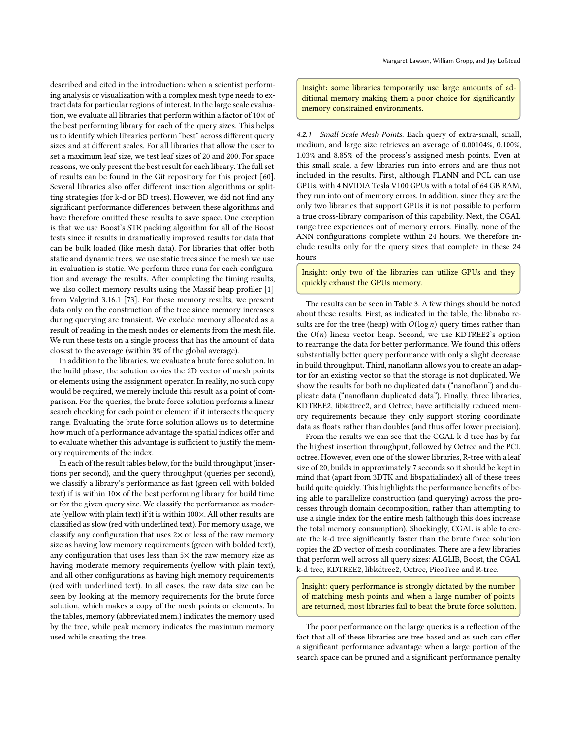described and cited in the introduction: when a scientist performing analysis or visualization with a complex mesh type needs to extract data for particular regions of interest. In the large scale evaluation, we evaluate all libraries that perform within a factor of 10× of the best performing library for each of the query sizes. This helps us to identify which libraries perform "best" across different query sizes and at different scales. For all libraries that allow the user to set a maximum leaf size, we test leaf sizes of 20 and 200. For space reasons, we only present the best result for each library. The full set of results can be found in the Git repository for this project [\[60](#page-11-40)]. Several libraries also offer different insertion algorithms or splitting strategies (for k-d or BD trees). However, we did not find any significant performance differences between these algorithms and have therefore omitted these results to save space. One exception is that we use Boost's STR packing algorithm for all of the Boost tests since it results in dramatically improved results for data that can be bulk loaded (like mesh data). For libraries that offer both static and dynamic trees, we use static trees since the mesh we use in evaluation is static. We perform three runs for each configuration and average the results. After completing the timing results, we also collect memory results using the Massif heap profiler [\[1\]](#page-10-25) from Valgrind 3.16.1 [\[73](#page-11-48)]. For these memory results, we present data only on the construction of the tree since memory increases during querying are transient. We exclude memory allocated as a result of reading in the mesh nodes or elements from the mesh file. We run these tests on a single process that has the amount of data closest to the average (within 3% of the global average).

In addition to the libraries, we evaluate a brute force solution. In the build phase, the solution copies the 2D vector of mesh points or elements using the assignment operator. In reality, no such copy would be required, we merely include this result as a point of comparison. For the queries, the brute force solution performs a linear search checking for each point or element if it intersects the query range. Evaluating the brute force solution allows us to determine how much of a performance advantage the spatial indices offer and to evaluate whether this advantage is sufficient to justify the memory requirements of the index.

In each of the result tables below, for the build throughput (insertions per second), and the query throughput (queries per second), we classify a library's performance as fast (green cell with bolded text) if is within 10× of the best performing library for build time or for the given query size. We classify the performance as moderate (yellow with plain text) if it is within 100×. All other results are classified as slow (red with underlined text). For memory usage, we classify any configuration that uses  $2\times$  or less of the raw memory size as having low memory requirements (green with bolded text), any configuration that uses less than  $5\times$  the raw memory size as having moderate memory requirements (yellow with plain text), and all other configurations as having high memory requirements (red with underlined text). In all cases, the raw data size can be seen by looking at the memory requirements for the brute force solution, which makes a copy of the mesh points or elements. In the tables, memory (abbreviated mem.) indicates the memory used by the tree, while peak memory indicates the maximum memory used while creating the tree.

Insight: some libraries temporarily use large amounts of additional memory making them a poor choice for significantly memory constrained environments.

4.2.1 Small Scale Mesh Points. Each query of extra-small, small, medium, and large size retrieves an average of 0.00104%, 0.100%, 1.03% and 8.85% of the process's assigned mesh points. Even at this small scale, a few libraries run into errors and are thus not included in the results. First, although FLANN and PCL can use GPUs, with 4 NVIDIA Tesla V100 GPUs with a total of 64 GB RAM, they run into out of memory errors. In addition, since they are the only two libraries that support GPUs it is not possible to perform a true cross-library comparison of this capability. Next, the CGAL range tree experiences out of memory errors. Finally, none of the ANN configurations complete within 24 hours. We therefore include results only for the query sizes that complete in these 24 hours.

Insight: only two of the libraries can utilize GPUs and they quickly exhaust the GPUs memory.

The results can be seen in Table [3.](#page-4-0) A few things should be noted about these results. First, as indicated in the table, the libnabo results are for the tree (heap) with  $O(\log n)$  query times rather than the  $O(n)$  linear vector heap. Second, we use KDTREE2's option to rearrange the data for better performance. We found this offers substantially better query performance with only a slight decrease in build throughput. Third, nanoflann allows you to create an adaptor for an existing vector so that the storage is not duplicated. We show the results for both no duplicated data ("nanoflann") and duplicate data ("nanoflann duplicated data"). Finally, three libraries, KDTREE2, libkdtree2, and Octree, have artificially reduced memory requirements because they only support storing coordinate data as floats rather than doubles (and thus offer lower precision).

From the results we can see that the CGAL k-d tree has by far the highest insertion throughput, followed by Octree and the PCL octree. However, even one of the slower libraries, R-tree with a leaf size of 20, builds in approximately 7 seconds so it should be kept in mind that (apart from 3DTK and libspatialindex) all of these trees build quite quickly. This highlights the performance benefits of being able to parallelize construction (and querying) across the processes through domain decomposition, rather than attempting to use a single index for the entire mesh (although this does increase the total memory consumption). Shockingly, CGAL is able to create the k-d tree significantly faster than the brute force solution copies the 2D vector of mesh coordinates. There are a few libraries that perform well across all query sizes: ALGLIB, Boost, the CGAL k-d tree, KDTREE2, libkdtree2, Octree, PicoTree and R-tree.

Insight: query performance is strongly dictated by the number of matching mesh points and when a large number of points are returned, most libraries fail to beat the brute force solution.

The poor performance on the large queries is a reflection of the fact that all of these libraries are tree based and as such can offer a significant performance advantage when a large portion of the search space can be pruned and a significant performance penalty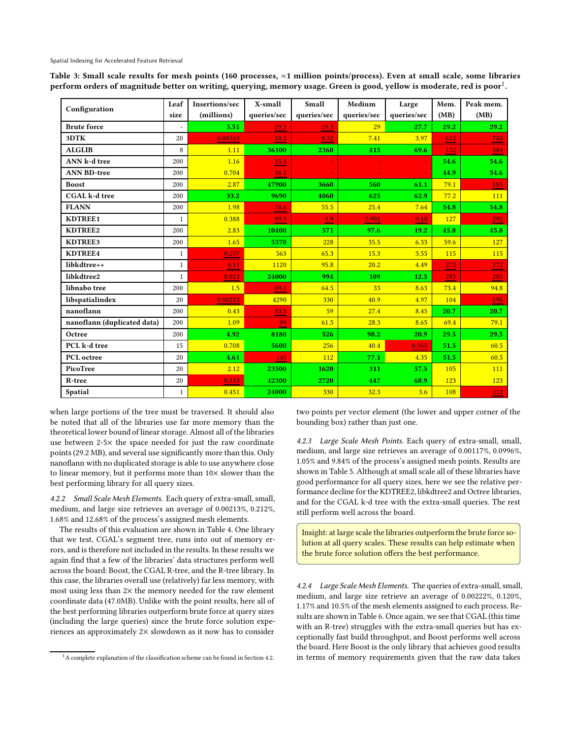<span id="page-4-0"></span>Spatial Indexing for Accelerated Feature Retrieval

Table 3: Small scale results for mesh points (160 processes, ≈1 million points/process). Even at small scale, some libraries perform orders of magnitude better on writing, querying, memory usage. Green is good, yellow is moderate, red is poor $^1\!$ .

|                             | Leaf         | Insertions/sec | X-small     | Small       | Medium      | Large       | Mem. | Peak mem.       |
|-----------------------------|--------------|----------------|-------------|-------------|-------------|-------------|------|-----------------|
| Configuration               | size         | (millions)     | queries/sec | queries/sec | queries/sec | queries/sec | (MB) | (MB)            |
| <b>Brute force</b>          |              | 5.51           | 29.3        | 29.3        | 29          | 27.7        | 29.2 | 29.2            |
| 3DTK                        | 20           | 0.00383        | 10.2        | 9.32        | 7.41        | 3.97        | 612  | $\frac{780}{2}$ |
| <b>ALGLIB</b>               | 8            | 1.11           | 36100       | 2360        | 415         | 69.6        | 152  | 384             |
| ANN k-d tree                | 200          | 1.16           | 35.4        |             |             |             | 54.6 | 54.6            |
| <b>ANN BD-tree</b>          | 200          | 0.704          | 36.1        |             |             |             | 44.9 | 54.6            |
| <b>Boost</b>                | 200          | 2.87           | 47900       | 3660        | 560         | 61.1        | 79.1 | 185             |
| <b>CGAL</b> k-d tree        | 200          | 33.2           | 9690        | 4060        | 625         | 62.9        | 77.2 | 111             |
| <b>FLANN</b>                | 200          | 1.98           | 78.6        | 55.5        | 25.4        | 7.64        | 54.8 | 54.8            |
| KDTREE1                     | $\mathbf{1}$ | 0.388          | 99.5        | 4.9         | 0.901       | 0.18        | 127  | 292             |
| KDTREE2                     | 200          | 2.83           | 10400       | 571         | 97.6        | 19.2        | 45.8 | 45.8            |
| KDTREE3                     | 200          | 1.65           | 5370        | 228         | 35.5        | 6.33        | 59.6 | 127             |
| KDTREE4                     | $\mathbf{1}$ | 0.297          | 563         | 65.3        | 15.3        | 3.55        | 115  | 115             |
| libkdtree++                 | $\mathbf{1}$ | 0.11           | 1120        | 95.8        | 20.2        | 4.49        | 272  | 272             |
| libkdtree2                  | $\mathbf{1}$ | 0.012          | 24000       | 994         | 109         | 12.5        | 285  | 285             |
| libnabo tree                | 200          | 1.5            | 69.1        | 64.5        | 33          | 8.63        | 73.4 | 94.8            |
| libspatialindex             | 20           | 0.00283        | 4290        | 330         | 40.9        | 4.97        | 104  | 196             |
| nanoflann                   | 200          | 0.43           | 83.5        | 59          | 27.4        | 8.45        | 20.7 | 20.7            |
| nanoflann (duplicated data) | 200          | 1.09           | 89          | 61.5        | 28.3        | 8.65        | 69.4 | 79.1            |
| Octree                      | 200          | 4.92           | 8180        | 526         | 98.2        | 20.9        | 29.5 | 29.5            |
| PCL k-d tree                | 15           | 0.708          | 5600        | 256         | 40.4        | 0.965       | 51.5 | 60.5            |
| PCL octree                  | 20           | 4.61           | 140         | 112         | 77.1        | 4.35        | 51.5 | 60.5            |
| PicoTree                    | 20           | 2.12           | 23500       | 1620        | 311         | 57.5        | 105  | 111             |
| R-tree                      | 20           | 0.183          | 42300       | 2720        | 447         | 68.9        | 123  | 123             |
| Spatial                     | $\mathbf{1}$ | 0.451          | 24000       | 330         | 32.3        | 3.6         | 108  | 212             |

when large portions of the tree must be traversed. It should also be noted that all of the libraries use far more memory than the theoretical lower bound of linear storage. Almost all of the libraries use between 2-5× the space needed for just the raw coordinate points (29.2 MB), and several use significantly more than this. Only nanoflann with no duplicated storage is able to use anywhere close to linear memory, but it performs more than 10× slower than the best performing library for all query sizes.

4.2.2 Small Scale Mesh Elements. Each query of extra-small, small, medium, and large size retrieves an average of 0.00213%, 0.212%, 1.68% and 12.68% of the process's assigned mesh elements.

The results of this evaluation are shown in Table [4.](#page-5-0) One library that we test, CGAL's segment tree, runs into out of memory errors, and is therefore not included in the results. In these results we again find that a few of the libraries' data structures perform well across the board: Boost, the CGAL R-tree, and the R-tree library. In this case, the libraries overall use (relatively) far less memory, with most using less than  $2\times$  the memory needed for the raw element coordinate data (47.0MB). Unlike with the point results, here all of the best performing libraries outperform brute force at query sizes (including the large queries) since the brute force solution experiences an approximately 2× slowdown as it now has to consider

two points per vector element (the lower and upper corner of the bounding box) rather than just one.

4.2.3 Large Scale Mesh Points. Each query of extra-small, small, medium, and large size retrieves an average of 0.00117%, 0.0996%, 1.05% and 9.84% of the process's assigned mesh points. Results are shown in Table [5.](#page-5-1) Although at small scale all of these libraries have good performance for all query sizes, here we see the relative performance decline for the KDTREE2, libkdtree2 and Octree libraries, and for the CGAL k-d tree with the extra-small queries. The rest still perform well across the board.

Insight: at large scale the libraries outperform the brute force solution at all query scales. These results can help estimate when the brute force solution offers the best performance.

4.2.4 Large Scale Mesh Elements. The queries of extra-small, small, medium, and large size retrieve an average of 0.00222%, 0.120%, 1.17% and 10.5% of the mesh elements assigned to each process. Results are shown in Table [6.](#page-5-2) Once again, we see that CGAL (this time with an R-tree) struggles with the extra-small queries but has exceptionally fast build throughput, and Boost performs well across the board. Here Boost is the only library that achieves good results in terms of memory requirements given that the raw data takes

 $1A$  complete explanation of the classification scheme can be found in Section [4.2.](#page-2-3)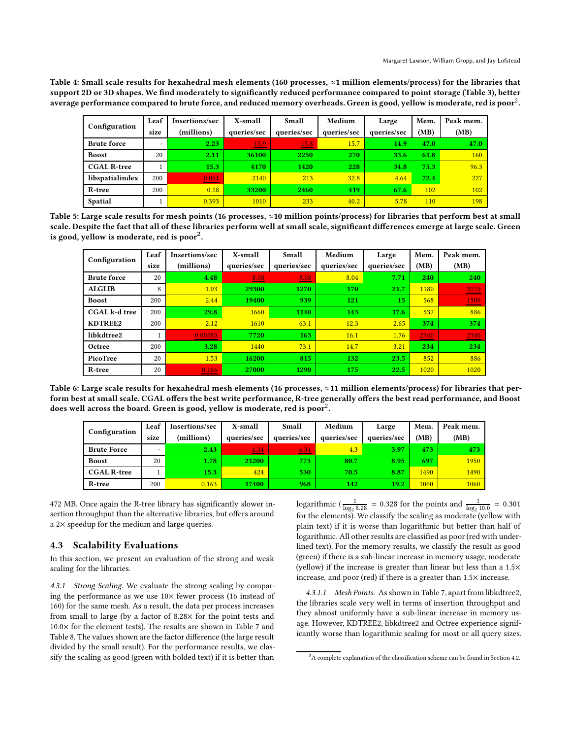<span id="page-5-0"></span>Table 4: Small scale results for hexahedral mesh elements (160 processes, ≈1 million elements/process) for the libraries that support 2D or 3D shapes. We find moderately to significantly reduced performance compared to point storage (Table 3), better average performance compared to brute force, and reduced memory overheads. Green is good, yellow is moderate, red is poor $^2$ .

| Configuration      | Leaf | Insertions/sec | X-small                          | Small<br>Medium                           |             | Large       | Mem. | Peak mem.  |
|--------------------|------|----------------|----------------------------------|-------------------------------------------|-------------|-------------|------|------------|
|                    | size | (millions)     | queries/sec                      | queries/sec                               | queries/sec | queries/sec | (MB) | (MB)       |
| <b>Brute force</b> | ۰    | 2.23           | 15.9<br><b>Service Contracts</b> | 15.8<br>and the control of the control of | 15.7        | 14.9        | 47.0 | 47.0       |
| <b>Boost</b>       | 20   | 2.11           | 36100                            | 2250                                      | 270         | 33.6        | 61.8 | <b>160</b> |
| <b>CGAL R-tree</b> |      | 15.3           | 4170                             | 1420                                      | 228         | 34.8        | 75.3 | 96.3       |
| libspatialindex    | 200  | 0.051          | 2140                             | 213                                       | 32.8        | 4.64        | 72.4 | 227        |
| R-tree             | 200  | 0.18           | 33200                            | 2460                                      | 419         | 67.6        | 102  | <b>102</b> |
| <b>Spatial</b>     |      | 0.393          | 1010                             | 233                                       | 40.2        | 5.78        | 110  | 198        |

<span id="page-5-1"></span>Table 5: Large scale results for mesh points (16 processes, ≈10 million points/process) for libraries that perform best at small scale. Despite the fact that all of these libraries perform well at small scale, significant differences emerge at large scale. Green is good, yellow is moderate, red is poor $^2\!$  $^2\!$  $^2\!$ .

| Configuration        | Leaf | Insertions/sec | X-small     | Small       | Medium      | Large       | Mem. | Peak mem.  |
|----------------------|------|----------------|-------------|-------------|-------------|-------------|------|------------|
|                      | size | (millions)     | queries/sec | queries/sec | queries/sec | queries/sec | (MB) | (MB)       |
| <b>Brute force</b>   | 20   | 4.48           | 8.08        | 8.08<br>__  | 8.04        | 7.71        | 240  | <b>240</b> |
| <b>ALGLIB</b>        | 8    | 1.03           | 29300       | 1270        | 170         | 21.7        | 1180 | 3170       |
| <b>Boost</b>         | 200  | 2.44           | 19400       | 939         | 121         | 15          | 568  | 1500       |
| <b>CGAL</b> k-d tree | 200  | 29.8           | 1660        | 1140        | 143         | 17.6        | 537  | 886        |
| KDTREE2              | 200  | 2.12           | 1610        | 63.1        | 12.3        | 2.65        | 374  | 374        |
| libkdtree2           | 1    | 0.00285        | 7720        | 163         | 16.1        | 1.76        | 2340 | 2340       |
| Octree               | 200  | 3.28           | 1440        | 73.1        | 14.7        | 3.21        | 234  | 234        |
| PicoTree             | 20   | 1.53           | 16200       | 815         | 132         | 23.5        | 852  | 886        |
| R-tree               | 20   | 0.166          | 27000       | 1290        | 175         | 22.5        | 1020 | 1020       |

<span id="page-5-2"></span>Table 6: Large scale results for hexahedral mesh elements (16 processes, ≈11 million elements/process) for libraries that perform best at small scale. CGAL offers the best write performance, R-tree generally offers the best read performance, and Boost does well across the board. Green is good, yellow is moderate, red is poor $^2.$  $^2.$  $^2.$ 

| Configuration      | Leaf<br>size | Insertions/sec<br>(millions) | X-small<br>queries/sec | Small<br>queries/sec | Medium<br>queries/sec | Large<br>queries/sec | Mem.<br>(MB) | Peak mem.<br>(MB) |
|--------------------|--------------|------------------------------|------------------------|----------------------|-----------------------|----------------------|--------------|-------------------|
| <b>Brute Force</b> |              | 2.43                         | 4.34                   | 4.34                 | 4.3                   | 3.97                 | 473          | 473               |
| <b>Boost</b>       | 20           | 1.78                         | 21200                  | 773                  | 80.7                  | 8.95                 | 697          | 1950              |
| <b>CGAL R-tree</b> |              | 15.3 <sub>1</sub>            | 424                    | 530                  | 70.5                  | 8.87                 | 1490         | 1490              |
| R-tree             | 200          | 0.163                        | 17400                  | 968                  | 142                   | 19.2                 | 1060         | 1060              |

472 MB. Once again the R-tree library has significantly slower insertion throughput than the alternative libraries, but offers around a 2× speedup for the medium and large queries.

### 4.3 Scalability Evaluations

In this section, we present an evaluation of the strong and weak scaling for the libraries.

<span id="page-5-3"></span>4.3.1 Strong Scaling. We evaluate the strong scaling by comparing the performance as we use 10× fewer process (16 instead of 160) for the same mesh. As a result, the data per process increases from small to large (by a factor of 8.28× for the point tests and  $10.0\times$  for the element tests). The results are shown in Table [7](#page-6-1) and Table [8.](#page-7-0) The values shown are the factor difference (the large result divided by the small result). For the performance results, we classify the scaling as good (green with bolded text) if it is better than

logarithmic ( $\frac{1}{\log_2 8.28}$  = 0.328 for the points and  $\frac{1}{\log_2 10.0}$  = 0.301 for the elements). We classify the scaling as moderate (yellow with plain text) if it is worse than logarithmic but better than half of logarithmic. All other results are classified as poor (red with underlined text). For the memory results, we classify the result as good (green) if there is a sub-linear increase in memory usage, moderate (yellow) if the increase is greater than linear but less than a 1.5× increase, and poor (red) if there is a greater than 1.5× increase.

4.3.1.1 Mesh Points. As shown in Table [7,](#page-6-1) apart from libkdtree2, the libraries scale very well in terms of insertion throughput and they almost uniformly have a sub-linear increase in memory usage. However, KDTREE2, libkdtree2 and Octree experience significantly worse than logarithmic scaling for most or all query sizes.

 $2A$  complete explanation of the classification scheme can be found in Section [4.2.](#page-2-3)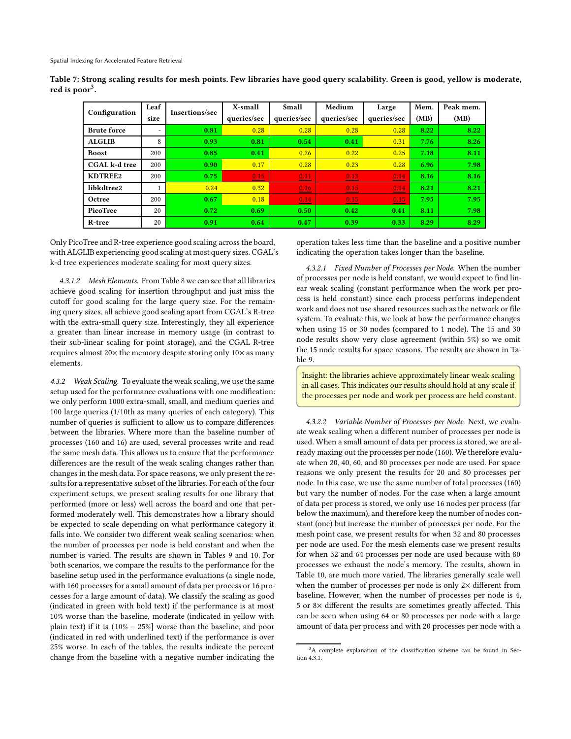| Configuration      | Leaf<br>size             | <b>Insertions/sec</b> | X-small<br>queries/sec | Small<br>queries/sec | Medium<br>queries/sec | Large<br>queries/sec | Mem.<br>(MB) | Peak mem.<br>(MB) |
|--------------------|--------------------------|-----------------------|------------------------|----------------------|-----------------------|----------------------|--------------|-------------------|
| <b>Brute force</b> | $\overline{\phantom{a}}$ | 0.81                  | 0.28                   | 0.28                 | 0.28                  | 0.28                 | 8.22         | 8.22              |
| <b>ALGLIB</b>      | 8                        | 0.93                  | 0.81                   | 0.54                 | 0.41                  | 0.31                 | 7.76         | 8.26              |
| <b>Boost</b>       | 200                      | 0.85                  | 0.41                   | 0.26                 | 0.22                  | 0.25                 | 7.18         | 8.11              |
| CGAL k-d tree      | 200                      | 0.90                  | 0.17                   | 0.28                 | 0.23                  | 0.28                 | 6.96         | 7.98              |
| KDTREE2            | 200                      | 0.75                  | 0.15                   | 0.11                 | 0.13                  | 0.14                 | 8.16         | 8.16              |
| libkdtree2         |                          | 0.24                  | 0.32                   | 0.16                 | 0.15                  | 0.14                 | 8.21         | 8.21              |
| Octree             | 200                      | 0.67                  | 0.18                   | 0.14                 | 0.15                  | 0.15                 | 7.95         | 7.95              |
| PicoTree           | 20                       | 0.72                  | 0.69                   | 0.50                 | 0.42                  | 0.41                 | 8.11         | 7.98              |
| R-tree             | 20                       | 0.91                  | 0.64                   | 0.47                 | 0.39                  | 0.33                 | 8.29         | 8.29              |

<span id="page-6-1"></span>Table 7: Strong scaling results for mesh points. Few libraries have good query scalability. Green is good, yellow is moderate, red is poor $^3.$ 

Only PicoTree and R-tree experience good scaling across the board, with ALGLIB experiencing good scaling at most query sizes. CGAL's k-d tree experiences moderate scaling for most query sizes.

4.3.1.2 Mesh Elements. From Table [8](#page-7-0) we can see that all libraries achieve good scaling for insertion throughput and just miss the cutoff for good scaling for the large query size. For the remaining query sizes, all achieve good scaling apart from CGAL's R-tree with the extra-small query size. Interestingly, they all experience a greater than linear increase in memory usage (in contrast to their sub-linear scaling for point storage), and the CGAL R-tree requires almost 20× the memory despite storing only 10× as many elements.

<span id="page-6-0"></span>4.3.2 Weak Scaling. To evaluate the weak scaling, we use the same setup used for the performance evaluations with one modification: we only perform 1000 extra-small, small, and medium queries and 100 large queries (1/10th as many queries of each category). This number of queries is sufficient to allow us to compare differences between the libraries. Where more than the baseline number of processes (160 and 16) are used, several processes write and read the same mesh data. This allows us to ensure that the performance differences are the result of the weak scaling changes rather than changes in the mesh data. For space reasons, we only present the results for a representative subset of the libraries. For each of the four experiment setups, we present scaling results for one library that performed (more or less) well across the board and one that performed moderately well. This demonstrates how a library should be expected to scale depending on what performance category it falls into. We consider two different weak scaling scenarios: when the number of processes per node is held constant and when the number is varied. The results are shown in Tables [9](#page-7-1) and [10.](#page-7-2) For both scenarios, we compare the results to the performance for the baseline setup used in the performance evaluations (a single node, with 160 processes for a small amount of data per process or 16 processes for a large amount of data). We classify the scaling as good (indicated in green with bold text) if the performance is at most 10% worse than the baseline, moderate (indicated in yellow with plain text) if it is (10% − 25%] worse than the baseline, and poor (indicated in red with underlined text) if the performance is over 25% worse. In each of the tables, the results indicate the percent change from the baseline with a negative number indicating the

operation takes less time than the baseline and a positive number indicating the operation takes longer than the baseline.

4.3.2.1 Fixed Number of Processes per Node. When the number of processes per node is held constant, we would expect to find linear weak scaling (constant performance when the work per process is held constant) since each process performs independent work and does not use shared resources such as the network or file system. To evaluate this, we look at how the performance changes when using 15 or 30 nodes (compared to 1 node). The 15 and 30 node results show very close agreement (within 5%) so we omit the 15 node results for space reasons. The results are shown in Table [9.](#page-7-1)

Insight: the libraries achieve approximately linear weak scaling in all cases. This indicates our results should hold at any scale if the processes per node and work per process are held constant.

<span id="page-6-2"></span>4.3.2.2 Variable Number of Processes per Node. Next, we evaluate weak scaling when a different number of processes per node is used. When a small amount of data per process is stored, we are already maxing out the processes per node (160). We therefore evaluate when 20, 40, 60, and 80 processes per node are used. For space reasons we only present the results for 20 and 80 processes per node. In this case, we use the same number of total processes (160) but vary the number of nodes. For the case when a large amount of data per process is stored, we only use 16 nodes per process (far below the maximum), and therefore keep the number of nodes constant (one) but increase the number of processes per node. For the mesh point case, we present results for when 32 and 80 processes per node are used. For the mesh elements case we present results for when 32 and 64 processes per node are used because with 80 processes we exhaust the node's memory. The results, shown in Table [10,](#page-7-2) are much more varied. The libraries generally scale well when the number of processes per node is only  $2\times$  different from baseline. However, when the number of processes per node is 4, 5 or 8× different the results are sometimes greatly affected. This can be seen when using 64 or 80 processes per node with a large amount of data per process and with 20 processes per node with a

<sup>&</sup>lt;sup>3</sup>A complete explanation of the classification scheme can be found in Section [4.3.1.](#page-5-3)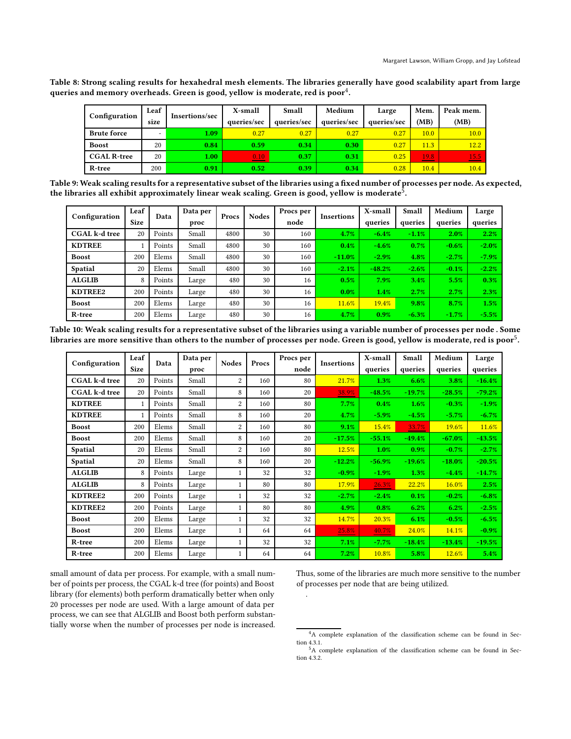<span id="page-7-0"></span>Table 8: Strong scaling results for hexahedral mesh elements. The libraries generally have good scalability apart from large queries and memory overheads. Green is good, yellow is moderate, red is poor $^4.$ 

| Configuration      | Leaf<br>size | Insertions/sec | X-small<br>queries/sec | Small<br>queries/sec | Medium<br>queries/sec | Large<br>queries/sec | Mem.<br>(MB)      | Peak mem.<br>(MB) |
|--------------------|--------------|----------------|------------------------|----------------------|-----------------------|----------------------|-------------------|-------------------|
| <b>Brute force</b> | -            | 1.09           | 0.27                   | 0.27                 | 0.27                  | 0.27                 | 10.0 <sub>1</sub> | 10.0              |
| <b>Boost</b>       | 20           | 0.84           | 0.59                   | 0.34                 | 0.30                  | 0.27                 | 11.3              | 12.2 <sub>2</sub> |
| <b>CGAL R-tree</b> | 20           | 1.00           | 0.10                   | 0.37                 | 0.31                  | 0.25                 | 19.8              | 15.5              |
| R-tree             | 200          | 0.91           | 0.52                   | 0.39                 | 0.34                  | 0.28                 | 10.4              | 10.4              |

<span id="page-7-1"></span>Table 9: Weak scaling results for a representative subset ofthe libraries using a fixed number of processes per node. As expected, the libraries all exhibit approximately linear weak scaling. Green is good, yellow is moderate<sup>5</sup>.

| Configuration        | Leaf<br><b>Size</b> | Data   | Data per<br>proc | Procs | <b>Nodes</b> | Procs per<br>node | <b>Insertions</b> | X-small<br>queries | Small<br>queries | Medium<br>queries | Large<br>queries |
|----------------------|---------------------|--------|------------------|-------|--------------|-------------------|-------------------|--------------------|------------------|-------------------|------------------|
| <b>CGAL</b> k-d tree | 20                  | Points | Small            | 4800  | 30           | 160               | 4.7%              | $-6.4%$            | $-1.1%$          | 2.0%              | 2.2%             |
| <b>KDTREE</b>        |                     | Points | Small            | 4800  | 30           | 160               | 0.4%              | $-4.6%$            | 0.7%             | $-0.6%$           | $-2.0%$          |
| <b>Boost</b>         | 200                 | Elems  | Small            | 4800  | 30           | 160               | $-11.0%$          | $-2.9\%$           | 4.8%             | $-2.7%$           | $-7.9%$          |
| <b>Spatial</b>       | 20                  | Elems  | Small            | 4800  | 30           | 160               | $-2.1%$           | $-48.2%$           | $-2.6%$          | $-0.1%$           | $-2.2%$          |
| <b>ALGLIB</b>        | 8                   | Points | Large            | 480   | 30           | 16                | 0.5%              | 7.9%               | 3.4%             | 5.5%              | 0.3%             |
| KDTREE2              | 200                 | Points | Large            | 480   | 30           | 16                | 0.0%              | 1.4%               | 2.7%             | 2.7%              | 2.3%             |
| <b>Boost</b>         | 200                 | Elems  | Large            | 480   | 30           | 16                | 11.6%             | 19.4%              | 9.8%             | 8.7%              | 1.5%             |
| R-tree               | 200                 | Elems  | Large            | 480   | 30           | 16                | 4.7%              | 0.9%               | $-6.3%$          | $-1.7%$           | $-5.5%$          |

<span id="page-7-2"></span>Table 10: Weak scaling results for a representative subset of the libraries using a variable number of processes per node . Some libraries are more sensitive than others to the number of processes per node. Green is good, yellow is moderate, red is poor $^5\!$  $^5\!$  $^5\!$ .

| Configuration        | Leaf<br><b>Size</b> | Data   | Data per<br>proc | <b>Nodes</b>   | Procs | Procs per<br>node | <b>Insertions</b> | X-small<br>queries | Small<br>queries | Medium<br>queries | Large<br>queries |
|----------------------|---------------------|--------|------------------|----------------|-------|-------------------|-------------------|--------------------|------------------|-------------------|------------------|
| <b>CGAL</b> k-d tree | 20                  | Points | Small            | $\overline{2}$ | 160   | 80                | 21.7%             | 1.3%               | 6.6%             | 3.8%              | $-16.4%$         |
| <b>CGAL</b> k-d tree | 20                  | Points | Small            | 8              | 160   | 20                | 38.9%             | $-48.5%$           | $-19.7%$         | $-28.5%$          | $-79.2%$         |
| <b>KDTREE</b>        |                     | Points | Small            | $\overline{2}$ | 160   | 80                | 7.7%              | 0.4%               | 1.6%             | $-0.3%$           | $-1.9%$          |
| <b>KDTREE</b>        |                     | Points | Small            | 8              | 160   | 20                | 4.7%              | $-5.9%$            | $-4.5%$          | $-5.7%$           | $-6.7%$          |
| <b>Boost</b>         | 200                 | Elems  | Small            | 2              | 160   | 80                | 9.1%              | 15.4%              | 33.7%            | 19.6%             | 11.6%            |
| <b>Boost</b>         | 200                 | Elems  | Small            | 8              | 160   | 20                | $-17.5%$          | $-55.1%$           | $-49.4%$         | $-67.0%$          | $-43.5%$         |
| <b>Spatial</b>       | 20                  | Elems  | Small            | $\overline{2}$ | 160   | 80                | 12.5%             | 1.0%               | 0.9%             | $-0.7%$           | $-2.7%$          |
| <b>Spatial</b>       | 20                  | Elems  | Small            | 8              | 160   | 20                | $-12.2%$          | $-56.9%$           | $-19.6%$         | $-18.0%$          | $-20.5%$         |
| <b>ALGLIB</b>        | 8                   | Points | Large            | 1              | 32    | 32                | $-0.9%$           | $-1.9%$            | 1.3%             | $-4.4%$           | $-14.7%$         |
| <b>ALGLIB</b>        | 8                   | Points | Large            | 1              | 80    | 80                | 17.9%             | 26.3%              | 22.2%            | 16.0%             | 2.5%             |
| KDTREE2              | 200                 | Points | Large            | 1              | 32    | 32                | $-2.7%$           | $-2.4%$            | 0.1%             | $-0.2%$           | $-6.8%$          |
| KDTREE2              | 200                 | Points | Large            | 1              | 80    | 80                | 4.9%              | 0.8%               | 6.2%             | 6.2%              | $-2.5%$          |
| <b>Boost</b>         | 200                 | Elems  | Large            | 1              | 32    | 32                | 14.7%             | 20.3%              | 6.1%             | $-0.5%$           | $-6.5%$          |
| <b>Boost</b>         | 200                 | Elems  | Large            | 1              | 64    | 64                | 25.8%             | 40.7%              | 24.0%            | 14.1%             | $-0.9%$          |
| R-tree               | 200                 | Elems  | Large            |                | 32    | 32                | 7.1%              | $-7.7%$            | $-18.4%$         | $-13.4%$          | $-19.5%$         |
| R-tree               | 200                 | Elems  | Large            |                | 64    | 64                | 7.2%              | 10.8%              | 5.8%             | 12.6%             | 5.4%             |

.

small amount of data per process. For example, with a small number of points per process, the CGAL k-d tree (for points) and Boost library (for elements) both perform dramatically better when only 20 processes per node are used. With a large amount of data per process, we can see that ALGLIB and Boost both perform substantially worse when the number of processes per node is increased.

Thus, some of the libraries are much more sensitive to the number of processes per node that are being utilized.

<sup>4</sup>A complete explanation of the classification scheme can be found in Section [4.3.1.](#page-5-3)

<sup>5</sup>A complete explanation of the classification scheme can be found in Section [4.3.2.](#page-6-0)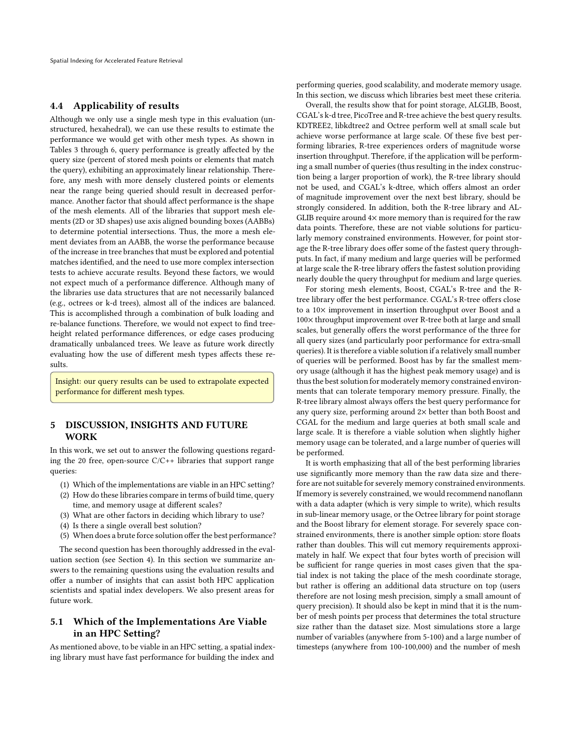### 4.4 Applicability of results

Although we only use a single mesh type in this evaluation (unstructured, hexahedral), we can use these results to estimate the performance we would get with other mesh types. As shown in Tables [3](#page-4-0) through [6,](#page-5-2) query performance is greatly affected by the query size (percent of stored mesh points or elements that match the query), exhibiting an approximately linear relationship. Therefore, any mesh with more densely clustered points or elements near the range being queried should result in decreased performance. Another factor that should affect performance is the shape of the mesh elements. All of the libraries that support mesh elements (2D or 3D shapes) use axis aligned bounding boxes (AABBs) to determine potential intersections. Thus, the more a mesh element deviates from an AABB, the worse the performance because of the increase in tree branches that must be explored and potential matches identified, and the need to use more complex intersection tests to achieve accurate results. Beyond these factors, we would not expect much of a performance difference. Although many of the libraries use data structures that are not necessarily balanced (e.g., octrees or k-d trees), almost all of the indices are balanced. This is accomplished through a combination of bulk loading and re-balance functions. Therefore, we would not expect to find treeheight related performance differences, or edge cases producing dramatically unbalanced trees. We leave as future work directly evaluating how the use of different mesh types affects these results.

Insight: our query results can be used to extrapolate expected performance for different mesh types.

## <span id="page-8-0"></span>5 DISCUSSION, INSIGHTS AND FUTURE WORK

In this work, we set out to answer the following questions regarding the 20 free, open-source C/C++ libraries that support range queries:

- (1) Which of the implementations are viable in an HPC setting?
- (2) How do these libraries compare in terms of build time, query time, and memory usage at different scales?
- (3) What are other factors in deciding which library to use?
- (4) Is there a single overall best solution?
- (5) When does a brute force solution offer the best performance?

The second question has been thoroughly addressed in the evaluation section (see Section [4\)](#page-2-0). In this section we summarize answers to the remaining questions using the evaluation results and offer a number of insights that can assist both HPC application scientists and spatial index developers. We also present areas for future work.

## 5.1 Which of the Implementations Are Viable in an HPC Setting?

As mentioned above, to be viable in an HPC setting, a spatial indexing library must have fast performance for building the index and

performing queries, good scalability, and moderate memory usage. In this section, we discuss which libraries best meet these criteria.

Overall, the results show that for point storage, ALGLIB, Boost, CGAL's k-d tree, PicoTree and R-tree achieve the best query results. KDTREE2, libkdtree2 and Octree perform well at small scale but achieve worse performance at large scale. Of these five best performing libraries, R-tree experiences orders of magnitude worse insertion throughput. Therefore, if the application will be performing a small number of queries (thus resulting in the index construction being a larger proportion of work), the R-tree library should not be used, and CGAL's k-dtree, which offers almost an order of magnitude improvement over the next best library, should be strongly considered. In addition, both the R-tree library and AL-GLIB require around  $4\times$  more memory than is required for the raw data points. Therefore, these are not viable solutions for particularly memory constrained environments. However, for point storage the R-tree library does offer some of the fastest query throughputs. In fact, if many medium and large queries will be performed at large scale the R-tree library offers the fastest solution providing nearly double the query throughput for medium and large queries.

For storing mesh elements, Boost, CGAL's R-tree and the Rtree library offer the best performance. CGAL's R-tree offers close to a 10× improvement in insertion throughput over Boost and a 100× throughput improvement over R-tree both at large and small scales, but generally offers the worst performance of the three for all query sizes (and particularly poor performance for extra-small queries). It is therefore a viable solution if a relatively small number of queries will be performed. Boost has by far the smallest memory usage (although it has the highest peak memory usage) and is thus the best solution for moderately memory constrained environments that can tolerate temporary memory pressure. Finally, the R-tree library almost always offers the best query performance for any query size, performing around 2× better than both Boost and CGAL for the medium and large queries at both small scale and large scale. It is therefore a viable solution when slightly higher memory usage can be tolerated, and a large number of queries will be performed.

It is worth emphasizing that all of the best performing libraries use significantly more memory than the raw data size and therefore are not suitable for severely memory constrained environments. If memory is severely constrained, we would recommend nanoflann with a data adapter (which is very simple to write), which results in sub-linear memory usage, or the Octree library for point storage and the Boost library for element storage. For severely space constrained environments, there is another simple option: store floats rather than doubles. This will cut memory requirements approximately in half. We expect that four bytes worth of precision will be sufficient for range queries in most cases given that the spatial index is not taking the place of the mesh coordinate storage, but rather is offering an additional data structure on top (users therefore are not losing mesh precision, simply a small amount of query precision). It should also be kept in mind that it is the number of mesh points per process that determines the total structure size rather than the dataset size. Most simulations store a large number of variables (anywhere from 5-100) and a large number of timesteps (anywhere from 100-100,000) and the number of mesh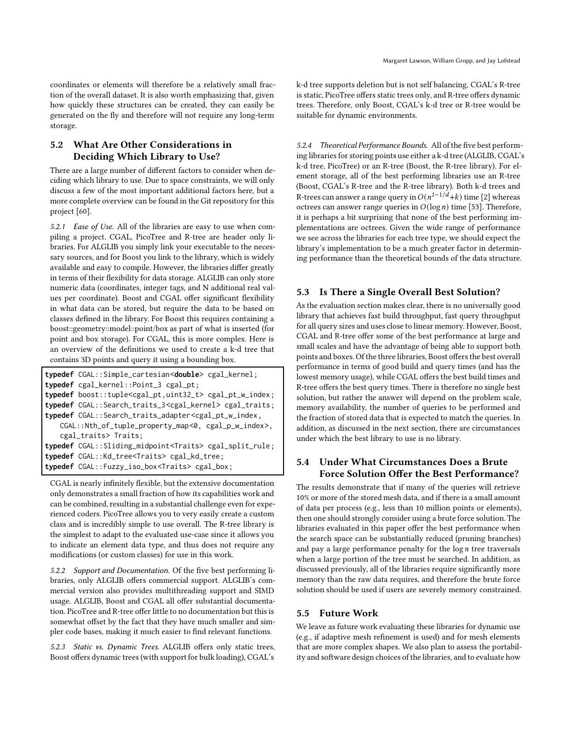coordinates or elements will therefore be a relatively small fraction of the overall dataset. It is also worth emphasizing that, given how quickly these structures can be created, they can easily be generated on the fly and therefore will not require any long-term storage.

## 5.2 What Are Other Considerations in Deciding Which Library to Use?

There are a large number of different factors to consider when deciding which library to use. Due to space constraints, we will only discuss a few of the most important additional factors here, but a more complete overview can be found in the Git repository for this project [\[60](#page-11-40)].

5.2.1 Ease of Use. All of the libraries are easy to use when compiling a project. CGAL, PicoTree and R-tree are header only libraries. For ALGLIB you simply link your executable to the necessary sources, and for Boost you link to the library, which is widely available and easy to compile. However, the libraries differ greatly in terms of their flexibility for data storage. ALGLIB can only store numeric data (coordinates, integer tags, and N additional real values per coordinate). Boost and CGAL offer significant flexibility in what data can be stored, but require the data to be based on classes defined in the library. For Boost this requires containing a boost::geometry::model::point/box as part of what is inserted (for point and box storage). For CGAL, this is more complex. Here is an overview of the definitions we used to create a k-d tree that contains 3D points and query it using a bounding box.

```
typedef CGAL::Simple_cartesian<double> cgal_kernel;
typedef cgal_kernel::Point_3 cgal_pt;
typedef boost::tuple<cgal_pt,uint32_t> cgal_pt_w_index;
typedef CGAL::Search_traits_3<cgal_kernel> cgal_traits;
typedef CGAL::Search_traits_adapter<cgal_pt_w_index,
   CGAL::Nth_of_tuple_property_map<0, cgal_p_w_index>,
   cgal_traits> Traits;
typedef CGAL::Sliding_midpoint<Traits> cgal_split_rule;
typedef CGAL::Kd_tree<Traits> cgal_kd_tree;
typedef CGAL::Fuzzy_iso_box<Traits> cgal_box;
```
CGAL is nearly infinitely flexible, but the extensive documentation only demonstrates a small fraction of how its capabilities work and can be combined, resulting in a substantial challenge even for experienced coders. PicoTree allows you to very easily create a custom class and is incredibly simple to use overall. The R-tree library is the simplest to adapt to the evaluated use-case since it allows you to indicate an element data type, and thus does not require any modifications (or custom classes) for use in this work.

5.2.2 Support and Documentation. Of the five best performing libraries, only ALGLIB offers commercial support. ALGLIB's commercial version also provides multithreading support and SIMD usage. ALGLIB, Boost and CGAL all offer substantial documentation. PicoTree and R-tree offer little to no documentation but this is somewhat offset by the fact that they have much smaller and simpler code bases, making it much easier to find relevant functions.

5.2.3 Static vs. Dynamic Trees. ALGLIB offers only static trees, Boost offers dynamic trees (with support for bulk loading), CGAL's

k-d tree supports deletion but is not self balancing, CGAL's R-tree is static, PicoTree offers static trees only, and R-tree offers dynamic trees. Therefore, only Boost, CGAL's k-d tree or R-tree would be suitable for dynamic environments.

5.2.4 Theoretical Performance Bounds. All of the five best performing libraries for storing points use either a k-d tree (ALGLIB, CGAL's k-d tree, PicoTree) or an R-tree (Boost, the R-tree library). For element storage, all of the best performing libraries use an R-tree (Boost, CGAL's R-tree and the R-tree library). Both k-d trees and R-trees can answer a range query in  $O(n^{1-1/d}+k)$  time [\[2\]](#page-10-9) whereas octrees can answer range queries in  $O(\log n)$  time [\[53\]](#page-11-19). Therefore, it is perhaps a bit surprising that none of the best performing implementations are octrees. Given the wide range of performance we see across the libraries for each tree type, we should expect the library's implementation to be a much greater factor in determining performance than the theoretical bounds of the data structure.

## 5.3 Is There a Single Overall Best Solution?

As the evaluation section makes clear, there is no universally good library that achieves fast build throughput, fast query throughput for all query sizes and uses close to linear memory. However, Boost, CGAL and R-tree offer some of the best performance at large and small scales and have the advantage of being able to support both points and boxes. Of the three libraries, Boost offers the best overall performance in terms of good build and query times (and has the lowest memory usage), while CGAL offers the best build times and R-tree offers the best query times. There is therefore no single best solution, but rather the answer will depend on the problem scale, memory availability, the number of queries to be performed and the fraction of stored data that is expected to match the queries. In addition, as discussed in the next section, there are circumstances under which the best library to use is no library.

## 5.4 Under What Circumstances Does a Brute Force Solution Offer the Best Performance?

The results demonstrate that if many of the queries will retrieve 10% or more of the stored mesh data, and if there is a small amount of data per process (e.g., less than 10 million points or elements), then one should strongly consider using a brute force solution. The libraries evaluated in this paper offer the best performance when the search space can be substantially reduced (pruning branches) and pay a large performance penalty for the  $\log n$  tree traversals when a large portion of the tree must be searched. In addition, as discussed previously, all of the libraries require significantly more memory than the raw data requires, and therefore the brute force solution should be used if users are severely memory constrained.

#### 5.5 Future Work

We leave as future work evaluating these libraries for dynamic use (e.g., if adaptive mesh refinement is used) and for mesh elements that are more complex shapes. We also plan to assess the portability and software design choices of the libraries, and to evaluate how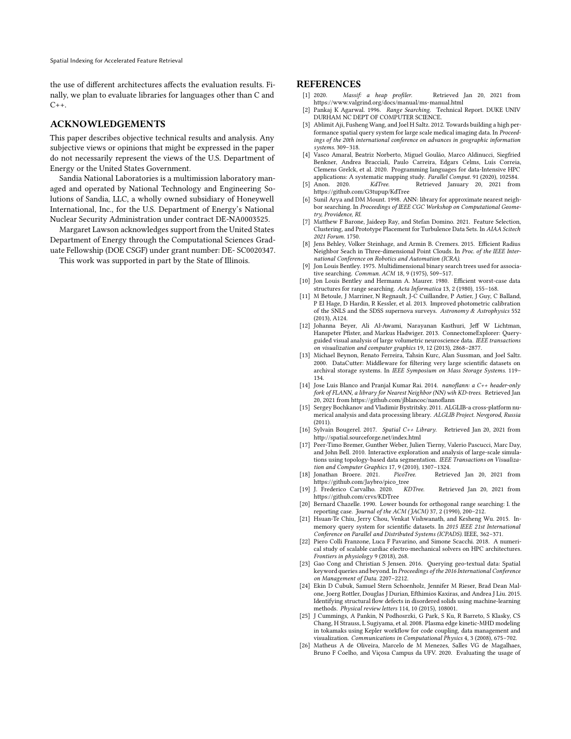the use of different architectures affects the evaluation results. Finally, we plan to evaluate libraries for languages other than C and  $C_{++}$ .

#### ACKNOWLEDGEMENTS

This paper describes objective technical results and analysis. Any subjective views or opinions that might be expressed in the paper do not necessarily represent the views of the U.S. Department of Energy or the United States Government.

Sandia National Laboratories is a multimission laboratory managed and operated by National Technology and Engineering Solutions of Sandia, LLC, a wholly owned subsidiary of Honeywell International, Inc., for the U.S. Department of Energy's National Nuclear Security Administration under contract DE-NA0003525.

Margaret Lawson acknowledges support from the United States Department of Energy through the Computational Sciences Graduate Fellowship (DOE CSGF) under grant number: DE- SC0020347.

This work was supported in part by the State of Illinois.

#### REFERENCES

- <span id="page-10-25"></span>[1] 2020. Massif: a heap profiler. Retrieved Jan 20, 2021 from <https://www.valgrind.org/docs/manual/ms-manual.html>
- <span id="page-10-9"></span>[2] Pankaj K Agarwal. 1996. Range Searching. Technical Report. DUKE UNIV DURHAM NC DEPT OF COMPUTER SCIENCE.
- <span id="page-10-4"></span>[3] Ablimit Aji, Fusheng Wang, and Joel H Saltz. 2012. Towards building a high performance spatial query system for large scale medical imaging data. In Proceedings of the 20th international conference on advances in geographic information systems. 309–318.
- <span id="page-10-14"></span>[4] Vasco Amaral, Beatriz Norberto, Miguel Goulão, Marco Aldinucci, Siegfried Benkner, Andrea Bracciali, Paulo Carreira, Edgars Celms, Luís Correia, Clemens Grelck, et al. 2020. Programming languages for data-Intensive HPC applications: A systematic mapping study. Parallel Comput. 91 (2020), 102584.<br>
[5] Anon. 2020. KdTree. Retrieved January 20, 2021 from
- <span id="page-10-18"></span>Retrieved January 20, 2021 from <https://github.com/G3tupup/KdTree>
- <span id="page-10-16"></span>[6] Sunil Arya and DM Mount. 1998. ANN: library for approximate nearest neighbor searching. In Proceedings of IEEE CGC Workshop on Computational Geometry, Providence, RI.
- <span id="page-10-2"></span>[7] Matthew F Barone, Jaideep Ray, and Stefan Domino. 2021. Feature Selection, Clustering, and Prototype Placement for Turbulence Data Sets. In AIAA Scitech 2021 Forum. 1750.
- <span id="page-10-20"></span>[8] Jens Behley, Volker Steinhage, and Armin B. Cremers. 2015. Efficient Radius Neighbor Seach in Three-dimensional Point Clouds. In Proc. of the IEEE International Conference on Robotics and Automation (ICRA).
- <span id="page-10-12"></span>[9] Jon Louis Bentley. 1975. Multidimensional binary search trees used for associative searching. Commun. ACM 18, 9 (1975), 509–517.
- <span id="page-10-10"></span>[10] Jon Louis Bentley and Hermann A. Maurer. 1980. Efficient worst-case data structures for range searching. Acta Informatica 13, 2 (1980), 155–168.
- <span id="page-10-3"></span>[11] M Betoule, J Marriner, N Regnault, J-C Cuillandre, P Astier, J Guy, C Balland, P El Hage, D Hardin, R Kessler, et al. 2013. Improved photometric calibration of the SNLS and the SDSS supernova surveys. Astronomy & Astrophysics 552 (2013), A124.
- <span id="page-10-0"></span>[12] Johanna Beyer, Ali Al-Awami, Narayanan Kasthuri, Jeff W Lichtman, Hanspeter Pfister, and Markus Hadwiger. 2013. ConnectomeExplorer: Queryguided visual analysis of large volumetric neuroscience data. IEEE transactions on visualization and computer graphics 19, 12 (2013), 2868–2877.
- <span id="page-10-1"></span>[13] Michael Beynon, Renato Ferreira, Tahsin Kurc, Alan Sussman, and Joel Saltz. 2000. DataCutter: Middleware for filtering very large scientific datasets on archival storage systems. In IEEE Symposium on Mass Storage Systems. 119– 134.
- <span id="page-10-19"></span>[14] Jose Luis Blanco and Pranjal Kumar Rai. 2014. nanoflann: a C++ header-only fork of FLANN, a library for Nearest Neighbor (NN) wih KD-trees. Retrieved Jan 20, 2021 from<https://github.com/jlblancoc/nanoflann>
- <span id="page-10-15"></span>[15] Sergey Bochkanov and Vladimir Bystritsky. 2011. ALGLIB-a cross-platform numerical analysis and data processing library. ALGLIB Project. Novgorod, Russia (2011).
- <span id="page-10-22"></span>[16] Sylvain Bougerel. 2017. Spatial C++ Library. Retrieved Jan 20, 2021 from <http://spatial.sourceforge.net/index.html>
- <span id="page-10-7"></span>[17] Peer-Timo Bremer, Gunther Weber, Julien Tierny, Valerio Pascucci, Marc Day, and John Bell. 2010. Interactive exploration and analysis of large-scale simulations using topology-based data segmentation. IEEE Transactions on Visualization and Computer Graphics 17, 9 (2010), 1307–1324.
- <span id="page-10-21"></span>[18] Jonathan Broere. 2021. PicoTree. Retrieved Jan 20, 2021 from
- <span id="page-10-17"></span>[https://github.com/Jaybro/pico\\_tree](https://github.com/Jaybro/pico_tree)<br>J. Frederico Carvalho. 2020. *KDTree*. [19] J. Frederico Carvalho. 2020. KDTree. Retrieved Jan 20, 2021 from <https://github.com/crvs/KDTree>
- <span id="page-10-11"></span>[20] Bernard Chazelle. 1990. Lower bounds for orthogonal range searching: I. the reporting case. Journal of the ACM (JACM) 37, 2 (1990), 200-212.
- <span id="page-10-5"></span>[21] Hsuan-Te Chiu, Jerry Chou, Venkat Vishwanath, and Kesheng Wu. 2015. Inmemory query system for scientific datasets. In 2015 IEEE 21st International Conference on Parallel and Distributed Systems (ICPADS). IEEE, 362–371.
- <span id="page-10-23"></span>[22] Piero Colli Franzone, Luca F Pavarino, and Simone Scacchi. 2018. A numerical study of scalable cardiac electro-mechanical solvers on HPC architectures. Frontiers in physiology 9 (2018), 268.
- <span id="page-10-8"></span>[23] Gao Cong and Christian S Jensen. 2016. Querying geo-textual data: Spatial keyword queries and beyond. In Proceedings of the 2016 International Conference on Management of Data. 2207–2212.
- <span id="page-10-6"></span>[24] Ekin D Cubuk, Samuel Stern Schoenholz, Jennifer M Rieser, Brad Dean Malone, Joerg Rottler, Douglas J Durian, Efthimios Kaxiras, and Andrea J Liu. 2015. Identifying structural flow defects in disordered solids using machine-learning methods. Physical review letters 114, 10 (2015), 108001.
- <span id="page-10-24"></span>[25] J Cummings, A Pankin, N Podhosrzki, G Park, S Ku, R Barreto, S Klasky, CS Chang, H Strauss, L Sugiyama, et al. 2008. Plasma edge kinetic-MHD modeling in tokamaks using Kepler workflow for code coupling, data management and visualization. Communications in Computational Physics 4, 3 (2008), 675–702.
- <span id="page-10-13"></span>[26] Matheus A de Oliveira, Marcelo de M Menezes, Salles VG de Magalhaes, Bruno F Coelho, and Viçosa Campus da UFV. 2020. Evaluating the usage of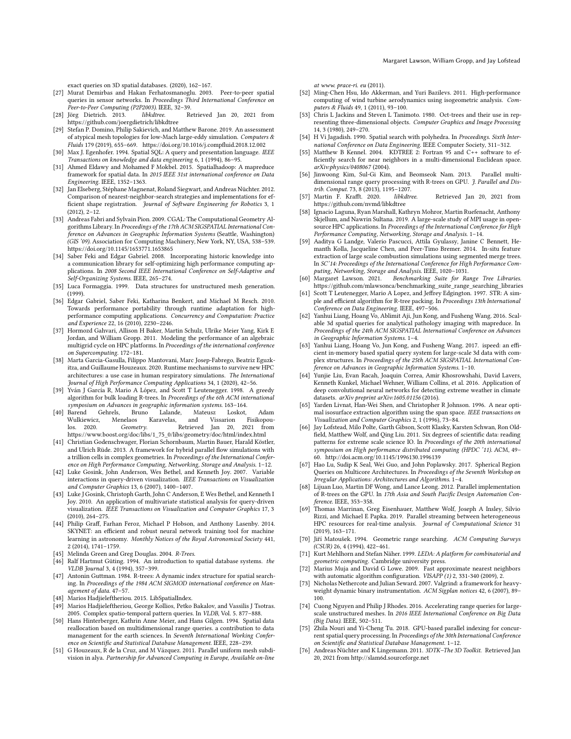- <span id="page-11-12"></span>[27] Murat Demirbas and Hakan Ferhatosmanoglu. 2003. Peer-to-peer spatial queries in sensor networks. In Proceedings Third International Conference on Peer-to-Peer Computing (P2P2003). IEEE, 32-39.<br>[28] Jörg Dietrich. 2013. libkdtree. Re
- <span id="page-11-37"></span>Retrieved Jan 20, 2021 from <https://github.com/joergdietrich/libkdtree>
- <span id="page-11-41"></span>[29] Stefan P. Domino, Philip Sakievich, and Matthew Barone. 2019. An assessment of atypical mesh topologies for low-Mach large-eddy simulation. Computers & Fluids 179 (2019), 655–669.<https://doi.org/10.1016/j.compfluid.2018.12.002>
- <span id="page-11-14"></span>[30] Max J. Egenhofer. 1994. Spatial SQL: A query and presentation language. IEEE Transactions on knowledge and data engineering 6, 1 (1994), 86–95.
- <span id="page-11-13"></span>[31] Ahmed Eldawy and Mohamed F Mokbel. 2015. Spatialhadoop: A mapreduce framework for spatial data. In 2015 IEEE 31st international conference on Data Engineering. IEEE, 1352–1363.
- <span id="page-11-28"></span>[32] Jan Elseberg, Stéphane Magnenat, Roland Siegwart, and Andreas Nüchter. 2012. Comparison of nearest-neighbor-search strategies and implementations for efficient shape registration. Journal of Software Engineering for Robotics 3, 1 (2012), 2–12.
- <span id="page-11-33"></span>[33] Andreas Fabri and Sylvain Pion. 2009. CGAL: The Computational Geometry Algorithms Library.In Proceedings of the 17th ACM SIGSPATIAL International Conference on Advances in Geographic Information Systems (Seattle, Washington) (GIS '09). Association for Computing Machinery, New York, NY, USA, 538–539. <https://doi.org/10.1145/1653771.1653865>
- <span id="page-11-42"></span>[34] Saber Feki and Edgar Gabriel. 2008. Incorporating historic knowledge into a communication library for self-optimizing high performance computing applications. In 2008 Second IEEE International Conference on Self-Adaptive and Self-Organizing Systems. IEEE, 265–274.
- <span id="page-11-20"></span>[35] Luca Formaggia. 1999. Data structures for unstructured mesh generation. (1999).
- <span id="page-11-43"></span>[36] Edgar Gabriel, Saber Feki, Katharina Benkert, and Michael M Resch. 2010. Towards performance portability through runtime adaptation for highperformance computing applications. Concurrency and Computation: Practice and Experience 22, 16 (2010), 2230–2246.
- [37] Hormozd Gahvari, Allison H Baker, Martin Schulz, Ulrike Meier Yang, Kirk E Jordan, and William Gropp. 2011. Modeling the performance of an algebraic multigrid cycle on HPC platforms. In Proceedings of the international conference on Supercomputing. 172–181.
- <span id="page-11-44"></span>[38] Marta Garcia-Gasulla, Filippo Mantovani, Marc Josep-Fabrego, Beatriz Eguzkitza, and Guillaume Houzeaux. 2020. Runtime mechanisms to survive new HPC architectures: a use case in human respiratory simulations. The International Journal of High Performance Computing Applications 34, 1 (2020), 42–56.
- <span id="page-11-22"></span>[39] Yván J García R, Mario A López, and Scott T Leutenegger. 1998. A greedy algorithm for bulk loading R-trees. In Proceedings of the 6th ACM international symposium on Advances in geographic information systems. 163–164.
- <span id="page-11-32"></span>[40] Barend Gehrels, Bruno Lalande, Mateusz Loskot, Adam Wulkiewicz, Menelaos Karavelas, and Vissarion Fisikopoulos. 2020. Geometry. Retrieved Jan 20, 2021 from [https://www.boost.org/doc/libs/1\\_75\\_0/libs/geometry/doc/html/index.html](https://www.boost.org/doc/libs/1_75_0/libs/geometry/doc/html/index.html)
- <span id="page-11-11"></span>[41] Christian Godenschwager, Florian Schornbaum, Martin Bauer, Harald Köstler, and Ulrich Rüde. 2013. A framework for hybrid parallel flow simulations with a trillion cells in complex geometries. In Proceedings of the International Conference on High Performance Computing, Networking, Storage and Analysis. 1–12.
- <span id="page-11-3"></span>[42] Luke Gosink, John Anderson, Wes Bethel, and Kenneth Joy. 2007. Variable interactions in query-driven visualization. IEEE Transactions on Visualization and Computer Graphics 13, 6 (2007), 1400–1407.
- <span id="page-11-6"></span>[43] Luke J Gosink, Christoph Garth, John C Anderson, E Wes Bethel, and Kenneth I Joy. 2010. An application of multivariate statistical analysis for query-driven visualization. IEEE Transactions on Visualization and Computer Graphics 17, 3 (2010), 264–275.
- <span id="page-11-7"></span>[44] Philip Graff, Farhan Feroz, Michael P Hobson, and Anthony Lasenby. 2014. SKYNET: an efficient and robust neural network training tool for machine learning in astronomy. Monthly Notices of the Royal Astronomical Society 441, 2 (2014), 1741–1759.
- <span id="page-11-39"></span>[45] Melinda Green and Greg Douglas. 2004. R-Trees.
- <span id="page-11-15"></span>[46] Ralf Hartmut Güting. 1994. An introduction to spatial database systems. the VLDB Journal 3, 4 (1994), 357–399.
- <span id="page-11-21"></span>[47] Antonin Guttman. 1984. R-trees: A dynamic index structure for spatial searching. In Proceedings of the 1984 ACM SIGMOD international conference on Management of data. 47–57.
- <span id="page-11-38"></span>[48] Marios Hadjieleftheriou. 2015. LibSpatialIndex.
- <span id="page-11-16"></span>[49] Marios Hadjieleftheriou, George Kollios, Petko Bakalov, and Vassilis J Tsotras. 2005. Complex spatio-temporal pattern queries. In VLDB, Vol. 5. 877–888.
- <span id="page-11-1"></span>[50] Hans Hinterberger, Kathrin Anne Meier, and Hans Gilgen. 1994. Spatial data reallocation based on multidimensional range queries. a contribution to data management for the earth sciences. In Seventh International Working Conference on Scientific and Statistical Database Management. IEEE, 228–239.
- <span id="page-11-10"></span>[51] G Houzeaux, R de la Cruz, and M Vázquez. 2011. Parallel uniform mesh subdivision in alya. Partnership for Advanced Computing in Europe, Available on-line

at www. prace-ri. eu (2011).

- <span id="page-11-45"></span>[52] Ming-Chen Hsu, Ido Akkerman, and Yuri Bazilevs. 2011. High-performance computing of wind turbine aerodynamics using isogeometric analysis. Computers & Fluids 49, 1 (2011), 93–100.
- <span id="page-11-19"></span>[53] Chris L Jackins and Steven L Tanimoto. 1980. Oct-trees and their use in representing three-dimensional objects. Computer Graphics and Image Processing 14, 3 (1980), 249–270.
- <span id="page-11-17"></span>[54] H Vi Jagadish. 1990. Spatial search with polyhedra. In Proceedings. Sixth International Conference on Data Engineering. IEEE Computer Society, 311–312.
- <span id="page-11-35"></span>[55] Matthew B Kennel. 2004. KDTREE 2: Fortran 95 and C++ software to efficiently search for near neighbors in a multi-dimensional Euclidean space. arXiv:physics/0408067 (2004).
- <span id="page-11-24"></span>[56] Jinwoong Kim, Sul-Gi Kim, and Beomseok Nam. 2013. Parallel multidimensional range query processing with R-trees on GPU. J. Parallel and Distrib. Comput. 73, 8 (2013), 1195–1207.
- <span id="page-11-36"></span>[57] Martin F. Krafft. 2020. libkdtree. Retrieved Jan 20, 2021 from <https://github.com/nvmd/libkdtree>
- <span id="page-11-29"></span>[58] Ignacio Laguna, Ryan Marshall, Kathryn Mohror, Martin Ruefenacht, Anthony Skjellum, and Nawrin Sultana. 2019. A large-scale study of MPI usage in opensource HPC applications. In Proceedings of the International Conference for High Performance Computing, Networking, Storage and Analysis. 1–14.
- <span id="page-11-46"></span>[59] Aaditya G Landge, Valerio Pascucci, Attila Gyulassy, Janine C Bennett, Hemanth Kolla, Jacqueline Chen, and Peer-Timo Bremer. 2014. In-situ feature extraction of large scale combustion simulations using segmented merge trees. In SC'14: Proceedings of the International Conference for High Performance Computing, Networking, Storage and Analysis. IEEE, 1020–1031.
- <span id="page-11-40"></span>[60] Margaret Lawson. 2021. Benchmarking Suite for Range Tree Libraries. [https://github.com/mlawsonca/benchmarking\\_suite\\_range\\_searching\\_libraries](https://github.com/mlawsonca/benchmarking_suite_range_searching_libraries)
- <span id="page-11-23"></span>[61] Scott T Leutenegger, Mario A Lopez, and Jeffrey Edgington. 1997. STR: A simple and efficient algorithm for R-tree packing. In Proceedings 13th International Conference on Data Engineering. IEEE, 497–506.
- <span id="page-11-4"></span>[62] Yanhui Liang, Hoang Vo, Ablimit Aji, Jun Kong, and Fusheng Wang. 2016. Scalable 3d spatial queries for analytical pathology imaging with mapreduce. In Proceedings of the 24th ACM SIGSPATIAL International Conference on Advances in Geographic Information Systems. 1–4.
- <span id="page-11-5"></span>[63] Yanhui Liang, Hoang Vo, Jun Kong, and Fusheng Wang. 2017. ispeed: an effi-cient in-memory based spatial query system for large-scale 3d data with complex structures. In Proceedings of the 25th ACM SIGSPATIAL International Conference on Advances in Geographic Information Systems. 1–10.
- <span id="page-11-8"></span>[64] Yunjie Liu, Evan Racah, Joaquin Correa, Amir Khosrowshahi, David Lavers, Kenneth Kunkel, Michael Wehner, William Collins, et al. 2016. Application of deep convolutional neural networks for detecting extreme weather in climate datasets. arXiv preprint arXiv:1605.01156 (2016).
- <span id="page-11-9"></span>[65] Yarden Livnat, Han-Wei Shen, and Christopher R Johnson. 1996. A near optimal isosurface extraction algorithm using the span space. IEEE transactions on Visualization and Computer Graphics 2, 1 (1996), 73–84.
- <span id="page-11-0"></span>[66] Jay Lofstead, Milo Polte, Garth Gibson, Scott Klasky, Karsten Schwan, Ron Oldfield, Matthew Wolf, and Qing Liu. 2011. Six degrees of scientific data: reading patterns for extreme scale science IO. In Proceedings of the 20th international symposium on High performance distributed computing (HPDC '11). ACM, 49– 60.<http://doi.acm.org/10.1145/1996130.1996139>
- <span id="page-11-2"></span>[67] Hao Lu, Sudip K Seal, Wei Guo, and John Poplawsky. 2017. Spherical Region Queries on Multicore Architectures. In Proceedings of the Seventh Workshop on Irregular Applications: Architectures and Algorithms. 1–4.
- <span id="page-11-25"></span>[68] Lijuan Luo, Martin DF Wong, and Lance Leong. 2012. Parallel implementation of R-trees on the GPU. In 17th Asia and South Pacific Design Automation Conference. IEEE, 353–358.
- <span id="page-11-47"></span>[69] Thomas Marrinan, Greg Eisenhauer, Matthew Wolf, Joseph A Insley, Silvio Rizzi, and Michael E Papka. 2019. Parallel streaming between heterogeneous HPC resources for real-time analysis. Journal of Computational Science 31 (2019), 163–171.
- <span id="page-11-18"></span>[70] Jiří Matoušek. 1994. Geometric range searching. ACM Computing Surveys (CSUR) 26, 4 (1994), 422–461.
- <span id="page-11-30"></span>[71] Kurt Mehlhorn and Stefan Näher. 1999. LEDA: A platform for combinatorial and geometric computing. Cambridge university press.
- <span id="page-11-34"></span>Marius Muja and David G Lowe. 2009. Fast approximate nearest neighbors with automatic algorithm configuration. VISAPP (1) 2, 331-340 (2009), 2
- <span id="page-11-48"></span>[73] Nicholas Nethercote and Julian Seward. 2007. Valgrind: a framework for heavyweight dynamic binary instrumentation. ACM Sigplan notices 42, 6 (2007), 89– 100.
- <span id="page-11-26"></span>[74] Cuong Nguyen and Philip J Rhodes. 2016. Accelerating range queries for largescale unstructured meshes. In 2016 IEEE International Conference on Big Data (Big Data). IEEE, 502–511.
- <span id="page-11-27"></span>[75] Zhila Nouri and Yi-Cheng Tu. 2018. GPU-based parallel indexing for concurrent spatial query processing. In Proceedings of the 30th International Conference on Scientific and Statistical Database Management. 1–12.
- <span id="page-11-31"></span>[76] Andreas Nüchter and K Lingemann. 2011. 3DTK-The 3D Toolkit. Retrieved Jan 20, 2021 from<http://slam6d.sourceforge.net>